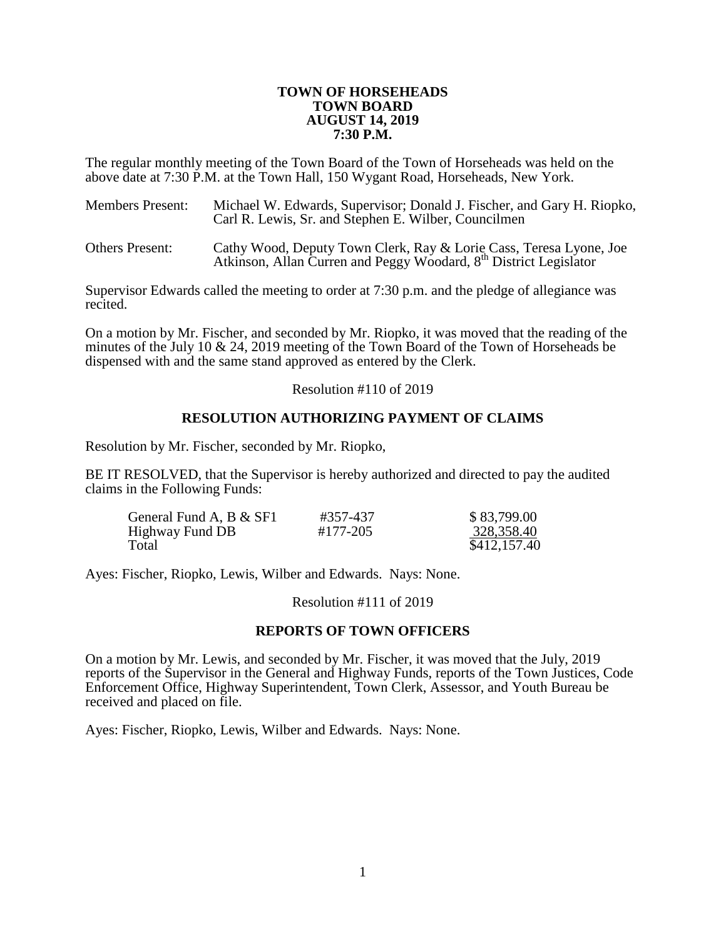#### **TOWN OF HORSEHEADS TOWN BOARD AUGUST 14, 2019 7:30 P.M.**

The regular monthly meeting of the Town Board of the Town of Horseheads was held on the above date at 7:30 P.M. at the Town Hall, 150 Wygant Road, Horseheads, New York.

| <b>Members Present:</b> | Michael W. Edwards, Supervisor; Donald J. Fischer, and Gary H. Riopko,<br>Carl R. Lewis, Sr. and Stephen E. Wilber, Councilmen                      |
|-------------------------|-----------------------------------------------------------------------------------------------------------------------------------------------------|
| <b>Others Present:</b>  | Cathy Wood, Deputy Town Clerk, Ray & Lorie Cass, Teresa Lyone, Joe<br>Atkinson, Allan Curren and Peggy Woodard, 8 <sup>th</sup> District Legislator |

Supervisor Edwards called the meeting to order at 7:30 p.m. and the pledge of allegiance was recited.

On a motion by Mr. Fischer, and seconded by Mr. Riopko, it was moved that the reading of the minutes of the July 10 & 24, 2019 meeting of the Town Board of the Town of Horseheads be dispensed with and the same stand approved as entered by the Clerk.

Resolution #110 of 2019

# **RESOLUTION AUTHORIZING PAYMENT OF CLAIMS**

Resolution by Mr. Fischer, seconded by Mr. Riopko,

BE IT RESOLVED, that the Supervisor is hereby authorized and directed to pay the audited claims in the Following Funds:

| General Fund A, B & SF1 | #357-437 | \$83,799.00  |
|-------------------------|----------|--------------|
| Highway Fund DB         | #177-205 | 328,358.40   |
| Total                   |          | \$412,157.40 |

Ayes: Fischer, Riopko, Lewis, Wilber and Edwards. Nays: None.

#### Resolution #111 of 2019

# **REPORTS OF TOWN OFFICERS**

On a motion by Mr. Lewis, and seconded by Mr. Fischer, it was moved that the July, 2019 reports of the Supervisor in the General and Highway Funds, reports of the Town Justices, Code Enforcement Office, Highway Superintendent, Town Clerk, Assessor, and Youth Bureau be received and placed on file.

Ayes: Fischer, Riopko, Lewis, Wilber and Edwards. Nays: None.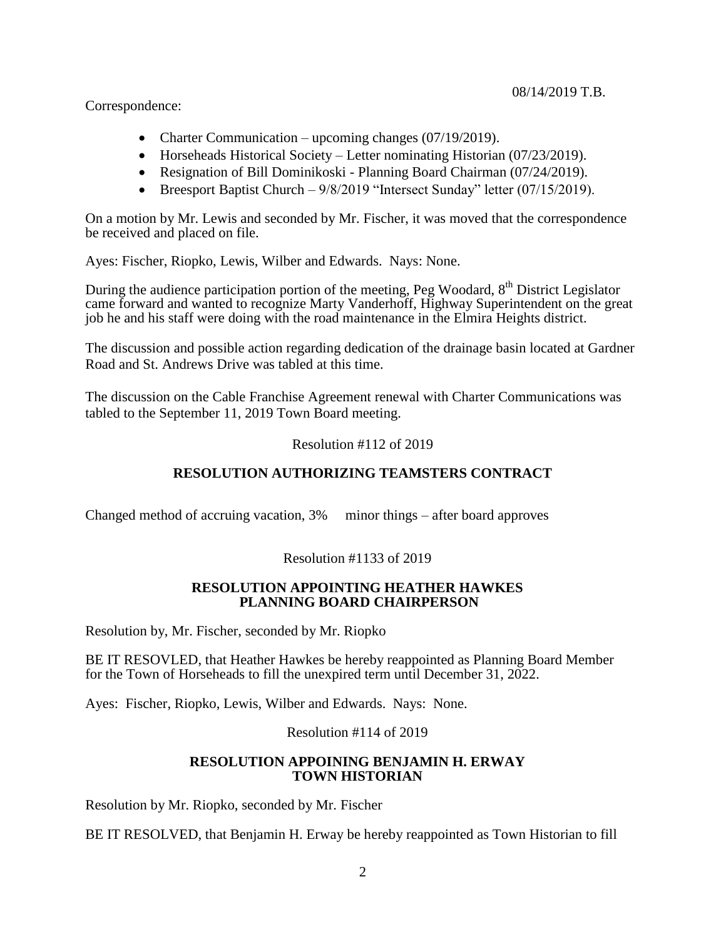Correspondence:

- Charter Communication upcoming changes (07/19/2019).
- Horseheads Historical Society Letter nominating Historian  $(07/23/2019)$ .
- Resignation of Bill Dominikoski Planning Board Chairman (07/24/2019).
- Breesport Baptist Church  $9/8/2019$  "Intersect Sunday" letter (07/15/2019).

On a motion by Mr. Lewis and seconded by Mr. Fischer, it was moved that the correspondence be received and placed on file.

Ayes: Fischer, Riopko, Lewis, Wilber and Edwards. Nays: None.

During the audience participation portion of the meeting, Peg Woodard, 8<sup>th</sup> District Legislator came forward and wanted to recognize Marty Vanderhoff, Highway Superintendent on the great job he and his staff were doing with the road maintenance in the Elmira Heights district.

The discussion and possible action regarding dedication of the drainage basin located at Gardner Road and St. Andrews Drive was tabled at this time.

The discussion on the Cable Franchise Agreement renewal with Charter Communications was tabled to the September 11, 2019 Town Board meeting.

# Resolution #112 of 2019

# **RESOLUTION AUTHORIZING TEAMSTERS CONTRACT**

Changed method of accruing vacation, 3% minor things – after board approves

# Resolution #1133 of 2019

#### **RESOLUTION APPOINTING HEATHER HAWKES PLANNING BOARD CHAIRPERSON**

Resolution by, Mr. Fischer, seconded by Mr. Riopko

BE IT RESOVLED, that Heather Hawkes be hereby reappointed as Planning Board Member for the Town of Horseheads to fill the unexpired term until December 31, 2022.

Ayes: Fischer, Riopko, Lewis, Wilber and Edwards. Nays: None.

Resolution #114 of 2019

# **RESOLUTION APPOINING BENJAMIN H. ERWAY TOWN HISTORIAN**

Resolution by Mr. Riopko, seconded by Mr. Fischer

BE IT RESOLVED, that Benjamin H. Erway be hereby reappointed as Town Historian to fill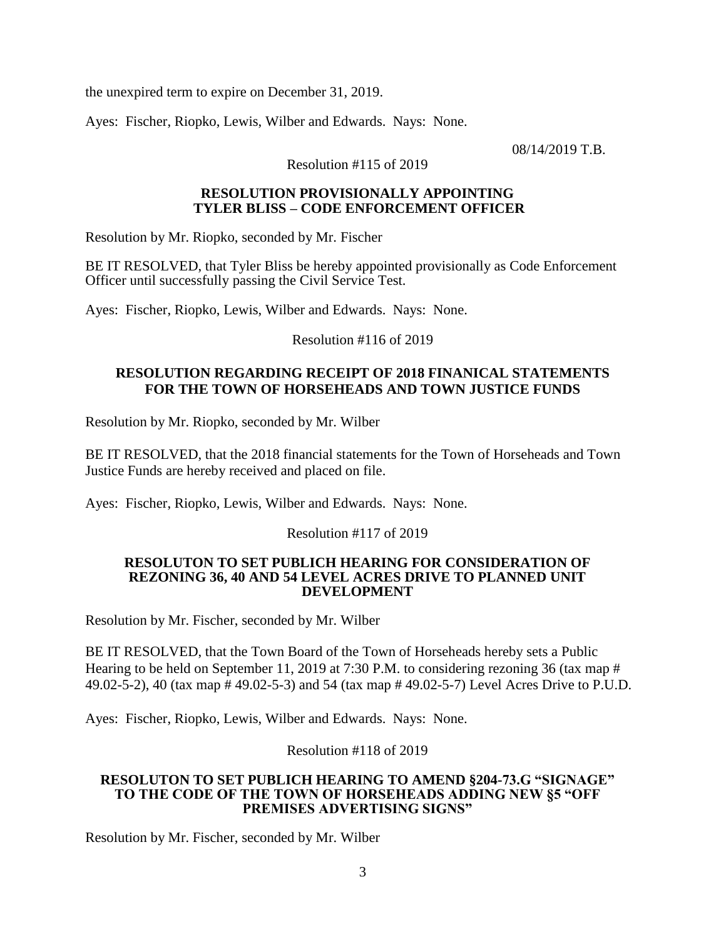the unexpired term to expire on December 31, 2019.

Ayes: Fischer, Riopko, Lewis, Wilber and Edwards. Nays: None.

08/14/2019 T.B.

Resolution #115 of 2019

#### **RESOLUTION PROVISIONALLY APPOINTING TYLER BLISS – CODE ENFORCEMENT OFFICER**

Resolution by Mr. Riopko, seconded by Mr. Fischer

BE IT RESOLVED, that Tyler Bliss be hereby appointed provisionally as Code Enforcement Officer until successfully passing the Civil Service Test.

Ayes: Fischer, Riopko, Lewis, Wilber and Edwards. Nays: None.

Resolution #116 of 2019

# **RESOLUTION REGARDING RECEIPT OF 2018 FINANICAL STATEMENTS FOR THE TOWN OF HORSEHEADS AND TOWN JUSTICE FUNDS**

Resolution by Mr. Riopko, seconded by Mr. Wilber

BE IT RESOLVED, that the 2018 financial statements for the Town of Horseheads and Town Justice Funds are hereby received and placed on file.

Ayes: Fischer, Riopko, Lewis, Wilber and Edwards. Nays: None.

Resolution #117 of 2019

#### **RESOLUTON TO SET PUBLICH HEARING FOR CONSIDERATION OF REZONING 36, 40 AND 54 LEVEL ACRES DRIVE TO PLANNED UNIT DEVELOPMENT**

Resolution by Mr. Fischer, seconded by Mr. Wilber

BE IT RESOLVED, that the Town Board of the Town of Horseheads hereby sets a Public Hearing to be held on September 11, 2019 at 7:30 P.M. to considering rezoning 36 (tax map # 49.02-5-2), 40 (tax map # 49.02-5-3) and 54 (tax map # 49.02-5-7) Level Acres Drive to P.U.D.

Ayes: Fischer, Riopko, Lewis, Wilber and Edwards. Nays: None.

Resolution #118 of 2019

#### **RESOLUTON TO SET PUBLICH HEARING TO AMEND §204-73.G "SIGNAGE" TO THE CODE OF THE TOWN OF HORSEHEADS ADDING NEW §5 "OFF PREMISES ADVERTISING SIGNS"**

Resolution by Mr. Fischer, seconded by Mr. Wilber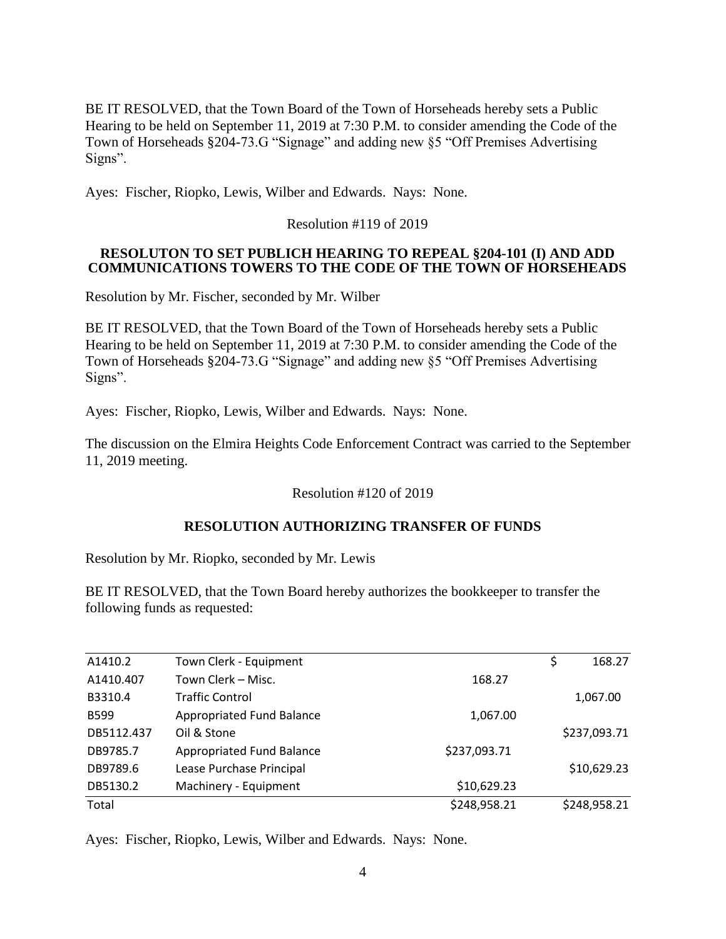BE IT RESOLVED, that the Town Board of the Town of Horseheads hereby sets a Public Hearing to be held on September 11, 2019 at 7:30 P.M. to consider amending the Code of the Town of Horseheads §204-73.G "Signage" and adding new §5 "Off Premises Advertising Signs".

Ayes: Fischer, Riopko, Lewis, Wilber and Edwards. Nays: None.

Resolution #119 of 2019

# **RESOLUTON TO SET PUBLICH HEARING TO REPEAL §204-101 (I) AND ADD COMMUNICATIONS TOWERS TO THE CODE OF THE TOWN OF HORSEHEADS**

Resolution by Mr. Fischer, seconded by Mr. Wilber

BE IT RESOLVED, that the Town Board of the Town of Horseheads hereby sets a Public Hearing to be held on September 11, 2019 at 7:30 P.M. to consider amending the Code of the Town of Horseheads §204-73.G "Signage" and adding new §5 "Off Premises Advertising Signs".

Ayes: Fischer, Riopko, Lewis, Wilber and Edwards. Nays: None.

The discussion on the Elmira Heights Code Enforcement Contract was carried to the September 11, 2019 meeting.

# Resolution #120 of 2019

# **RESOLUTION AUTHORIZING TRANSFER OF FUNDS**

Resolution by Mr. Riopko, seconded by Mr. Lewis

BE IT RESOLVED, that the Town Board hereby authorizes the bookkeeper to transfer the following funds as requested:

| A1410.2     | Town Clerk - Equipment    |              | \$<br>168.27 |
|-------------|---------------------------|--------------|--------------|
| A1410.407   | Town Clerk – Misc.        | 168.27       |              |
| B3310.4     | <b>Traffic Control</b>    |              | 1,067.00     |
| <b>B599</b> | Appropriated Fund Balance | 1,067.00     |              |
| DB5112.437  | Oil & Stone               |              | \$237,093.71 |
| DB9785.7    | Appropriated Fund Balance | \$237,093.71 |              |
| DB9789.6    | Lease Purchase Principal  |              | \$10,629.23  |
| DB5130.2    | Machinery - Equipment     | \$10,629.23  |              |
| Total       |                           | \$248,958.21 | \$248,958.21 |
|             |                           |              |              |

Ayes: Fischer, Riopko, Lewis, Wilber and Edwards. Nays: None.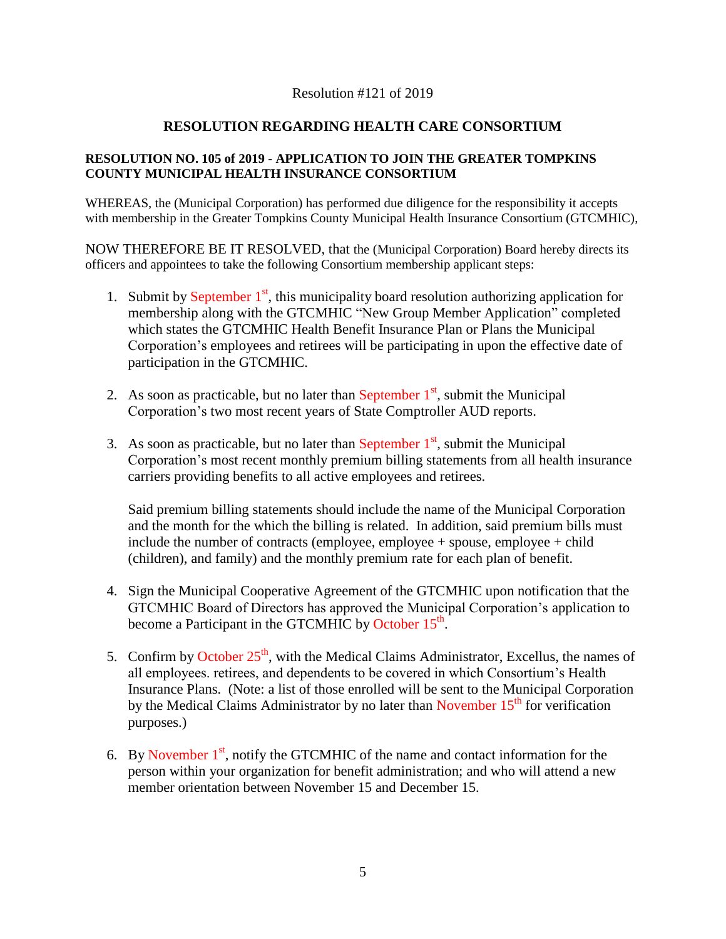#### Resolution #121 of 2019

# **RESOLUTION REGARDING HEALTH CARE CONSORTIUM**

#### **RESOLUTION NO. 105 of 2019 - APPLICATION TO JOIN THE GREATER TOMPKINS COUNTY MUNICIPAL HEALTH INSURANCE CONSORTIUM**

WHEREAS, the (Municipal Corporation) has performed due diligence for the responsibility it accepts with membership in the Greater Tompkins County Municipal Health Insurance Consortium (GTCMHIC),

NOW THEREFORE BE IT RESOLVED, that the (Municipal Corporation) Board hereby directs its officers and appointees to take the following Consortium membership applicant steps:

- 1. Submit by September  $1<sup>st</sup>$ , this municipality board resolution authorizing application for membership along with the GTCMHIC "New Group Member Application" completed which states the GTCMHIC Health Benefit Insurance Plan or Plans the Municipal Corporation's employees and retirees will be participating in upon the effective date of participation in the GTCMHIC.
- 2. As soon as practicable, but no later than September  $1<sup>st</sup>$ , submit the Municipal Corporation's two most recent years of State Comptroller AUD reports.
- 3. As soon as practicable, but no later than September  $1<sup>st</sup>$ , submit the Municipal Corporation's most recent monthly premium billing statements from all health insurance carriers providing benefits to all active employees and retirees.

Said premium billing statements should include the name of the Municipal Corporation and the month for the which the billing is related. In addition, said premium bills must include the number of contracts (employee, employee + spouse, employee + child (children), and family) and the monthly premium rate for each plan of benefit.

- 4. Sign the Municipal Cooperative Agreement of the GTCMHIC upon notification that the GTCMHIC Board of Directors has approved the Municipal Corporation's application to become a Participant in the GTCMHIC by October  $15<sup>th</sup>$ .
- 5. Confirm by October  $25<sup>th</sup>$ , with the Medical Claims Administrator, Excellus, the names of all employees. retirees, and dependents to be covered in which Consortium's Health Insurance Plans. (Note: a list of those enrolled will be sent to the Municipal Corporation by the Medical Claims Administrator by no later than November  $15<sup>th</sup>$  for verification purposes.)
- 6. By November  $1<sup>st</sup>$ , notify the GTCMHIC of the name and contact information for the person within your organization for benefit administration; and who will attend a new member orientation between November 15 and December 15.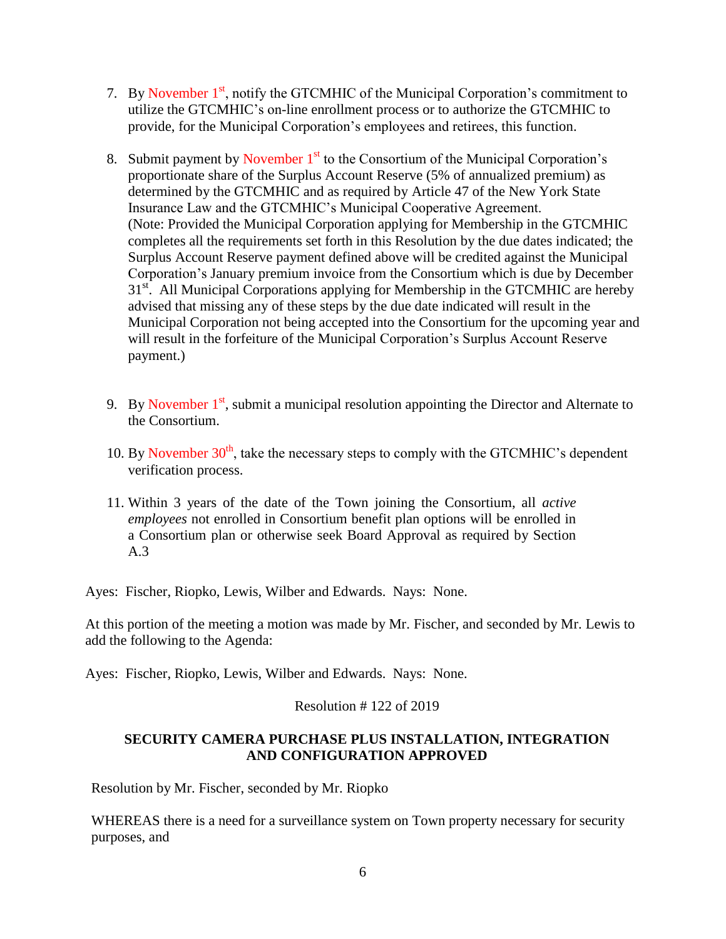- 7. By November  $1<sup>st</sup>$ , notify the GTCMHIC of the Municipal Corporation's commitment to utilize the GTCMHIC's on-line enrollment process or to authorize the GTCMHIC to provide, for the Municipal Corporation's employees and retirees, this function.
- 8. Submit payment by November  $1<sup>st</sup>$  to the Consortium of the Municipal Corporation's proportionate share of the Surplus Account Reserve (5% of annualized premium) as determined by the GTCMHIC and as required by Article 47 of the New York State Insurance Law and the GTCMHIC's Municipal Cooperative Agreement. (Note: Provided the Municipal Corporation applying for Membership in the GTCMHIC completes all the requirements set forth in this Resolution by the due dates indicated; the Surplus Account Reserve payment defined above will be credited against the Municipal Corporation's January premium invoice from the Consortium which is due by December 31<sup>st</sup>. All Municipal Corporations applying for Membership in the GTCMHIC are hereby advised that missing any of these steps by the due date indicated will result in the Municipal Corporation not being accepted into the Consortium for the upcoming year and will result in the forfeiture of the Municipal Corporation's Surplus Account Reserve payment.)
- 9. By November  $1<sup>st</sup>$ , submit a municipal resolution appointing the Director and Alternate to the Consortium.
- 10. By November  $30<sup>th</sup>$ , take the necessary steps to comply with the GTCMHIC's dependent verification process.
- 11. Within 3 years of the date of the Town joining the Consortium, all *active employees* not enrolled in Consortium benefit plan options will be enrolled in a Consortium plan or otherwise seek Board Approval as required by Section A.3

Ayes: Fischer, Riopko, Lewis, Wilber and Edwards. Nays: None.

At this portion of the meeting a motion was made by Mr. Fischer, and seconded by Mr. Lewis to add the following to the Agenda:

Ayes: Fischer, Riopko, Lewis, Wilber and Edwards. Nays: None.

# Resolution # 122 of 2019

# **SECURITY CAMERA PURCHASE PLUS INSTALLATION, INTEGRATION AND CONFIGURATION APPROVED**

Resolution by Mr. Fischer, seconded by Mr. Riopko

WHEREAS there is a need for a surveillance system on Town property necessary for security purposes, and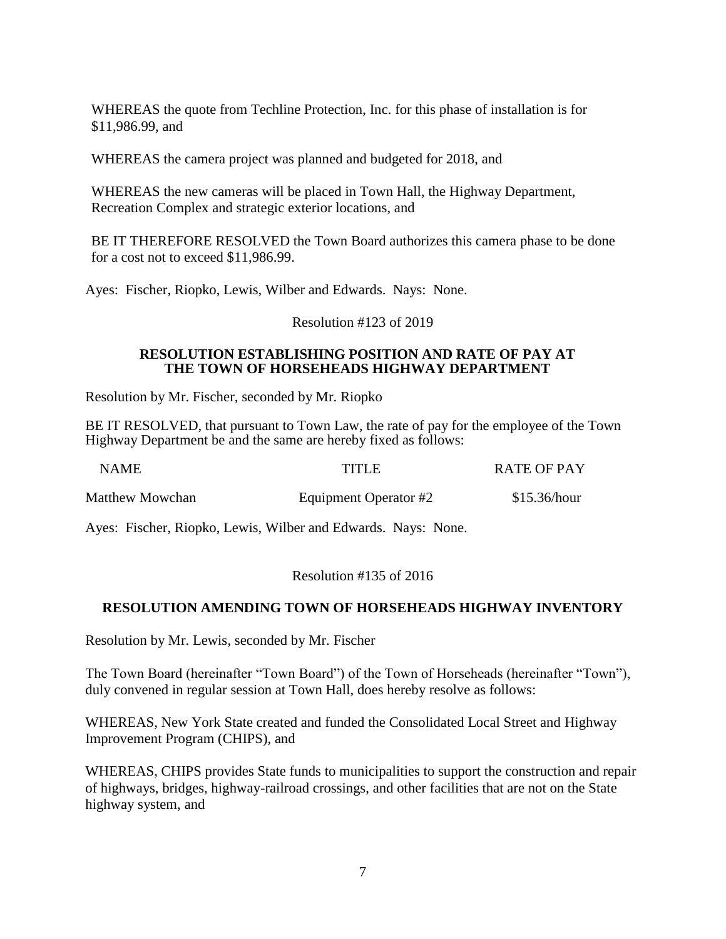WHEREAS the quote from Techline Protection, Inc. for this phase of installation is for \$11,986.99, and

WHEREAS the camera project was planned and budgeted for 2018, and

WHEREAS the new cameras will be placed in Town Hall, the Highway Department, Recreation Complex and strategic exterior locations, and

BE IT THEREFORE RESOLVED the Town Board authorizes this camera phase to be done for a cost not to exceed \$11,986.99.

Ayes: Fischer, Riopko, Lewis, Wilber and Edwards. Nays: None.

Resolution #123 of 2019

#### **RESOLUTION ESTABLISHING POSITION AND RATE OF PAY AT THE TOWN OF HORSEHEADS HIGHWAY DEPARTMENT**

Resolution by Mr. Fischer, seconded by Mr. Riopko

BE IT RESOLVED, that pursuant to Town Law, the rate of pay for the employee of the Town Highway Department be and the same are hereby fixed as follows:

| <b>NAME</b>     | TITLE                 | <b>RATE OF PAY</b> |
|-----------------|-----------------------|--------------------|
| Matthew Mowchan | Equipment Operator #2 | \$15.36/hour       |

Ayes: Fischer, Riopko, Lewis, Wilber and Edwards. Nays: None.

#### Resolution #135 of 2016

# **RESOLUTION AMENDING TOWN OF HORSEHEADS HIGHWAY INVENTORY**

Resolution by Mr. Lewis, seconded by Mr. Fischer

The Town Board (hereinafter "Town Board") of the Town of Horseheads (hereinafter "Town"), duly convened in regular session at Town Hall, does hereby resolve as follows:

WHEREAS, New York State created and funded the Consolidated Local Street and Highway Improvement Program (CHIPS), and

WHEREAS, CHIPS provides State funds to municipalities to support the construction and repair of highways, bridges, highway-railroad crossings, and other facilities that are not on the State highway system, and